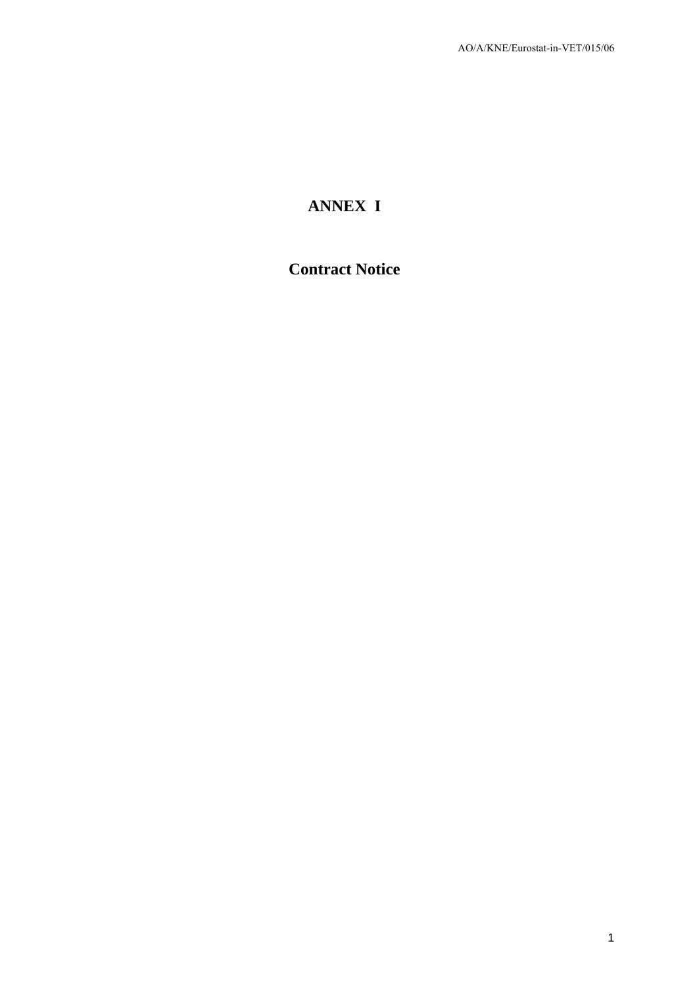# **ANNEX I**

## **Contract Notice**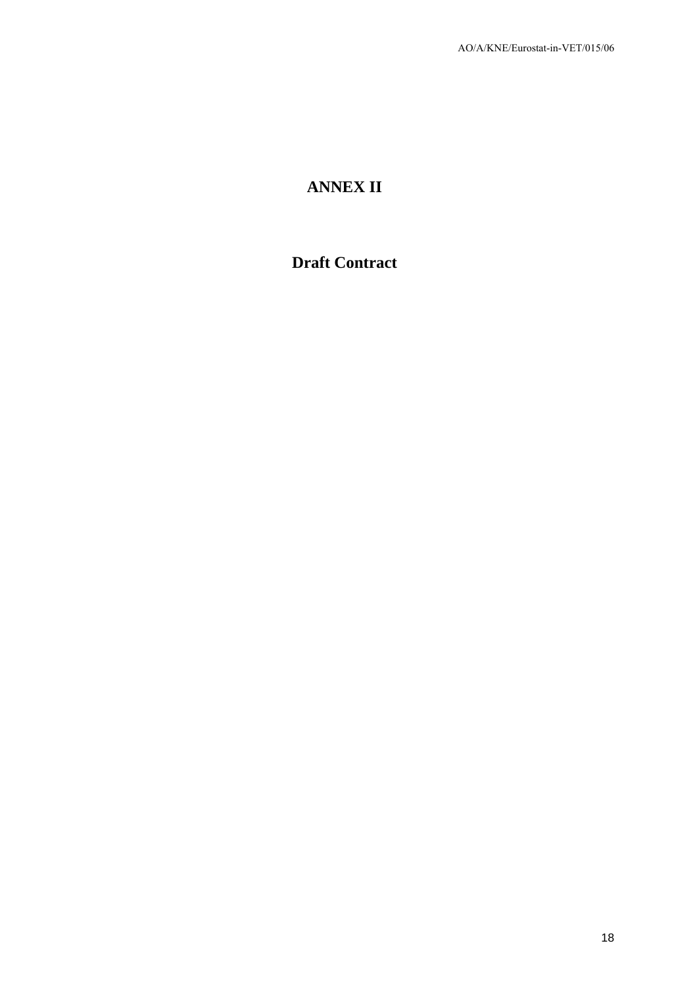# **ANNEX II**

## **Draft Contract**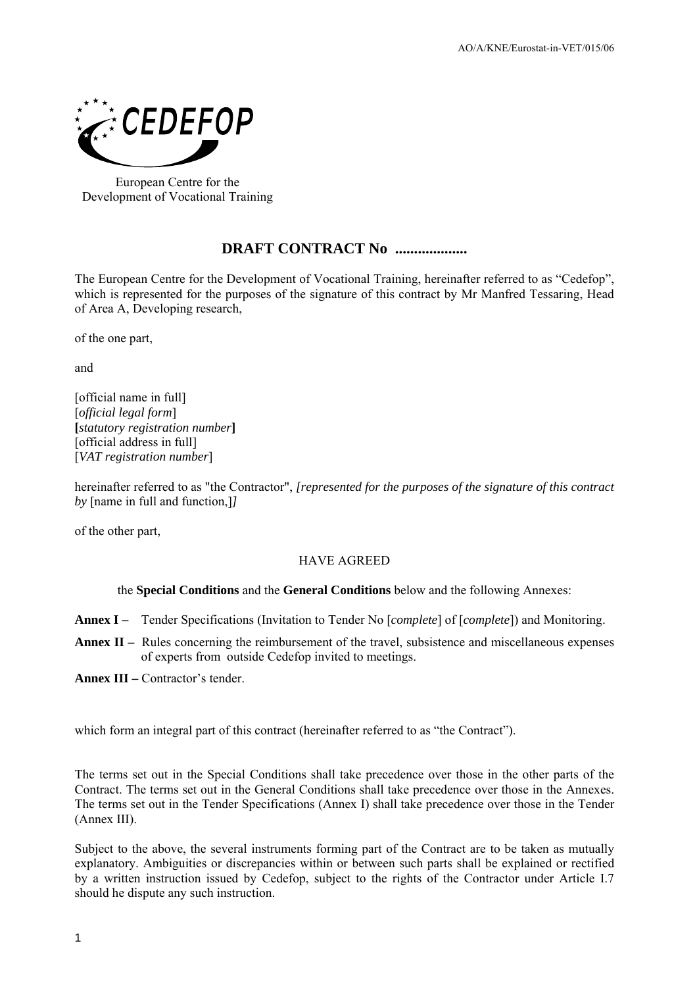

European Centre for the Development of Vocational Training

## **DRAFT CONTRACT No ...................**

The European Centre for the Development of Vocational Training, hereinafter referred to as "Cedefop", which is represented for the purposes of the signature of this contract by Mr Manfred Tessaring, Head of Area A, Developing research,

of the one part,

and

[official name in full] [*official legal form*] **[***statutory registration number***]**  [official address in full] [*VAT registration number*]

hereinafter referred to as "the Contractor", *[represented for the purposes of the signature of this contract by* [name in full and function,]*]*

of the other part,

### HAVE AGREED

#### the **Special Conditions** and the **General Conditions** below and the following Annexes:

**Annex I –** Tender Specifications (Invitation to Tender No [*complete*] of [*complete*]) and Monitoring.

**Annex II –** Rules concerning the reimbursement of the travel, subsistence and miscellaneous expenses of experts from outside Cedefop invited to meetings.

**Annex III –** Contractor's tender.

which form an integral part of this contract (hereinafter referred to as "the Contract").

The terms set out in the Special Conditions shall take precedence over those in the other parts of the Contract. The terms set out in the General Conditions shall take precedence over those in the Annexes. The terms set out in the Tender Specifications (Annex I) shall take precedence over those in the Tender (Annex IΙI).

Subject to the above, the several instruments forming part of the Contract are to be taken as mutually explanatory. Ambiguities or discrepancies within or between such parts shall be explained or rectified by a written instruction issued by Cedefop, subject to the rights of the Contractor under Article I.7 should he dispute any such instruction.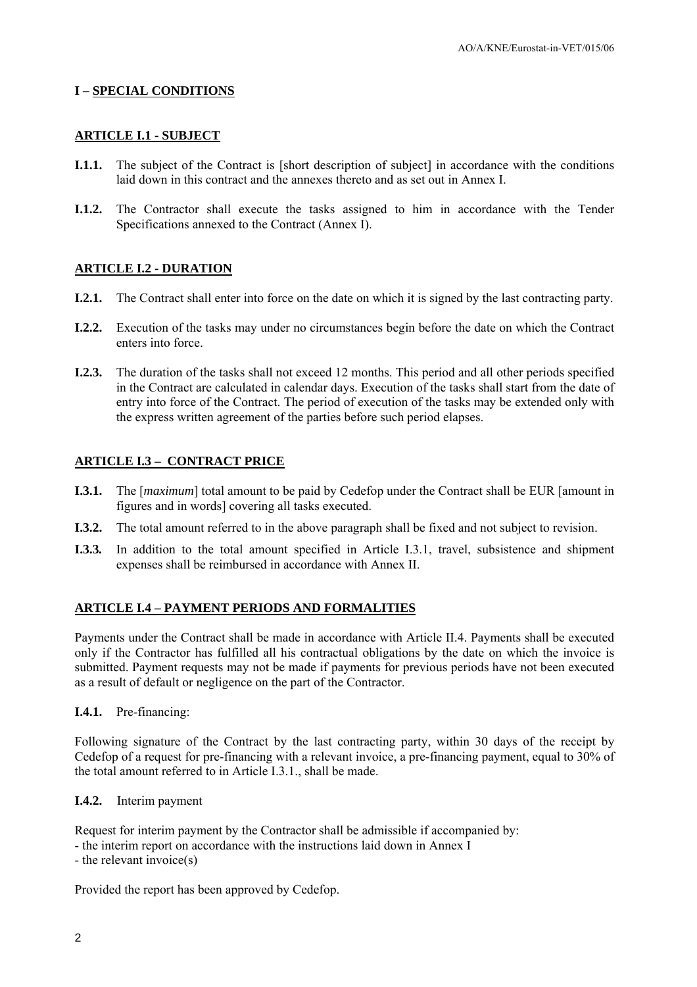#### **I – SPECIAL CONDITIONS**

#### **ARTICLE I.1 - SUBJECT**

- **I.1.1.** The subject of the Contract is [short description of subject] in accordance with the conditions laid down in this contract and the annexes thereto and as set out in Annex I.
- **I.1.2.** The Contractor shall execute the tasks assigned to him in accordance with the Tender Specifications annexed to the Contract (Annex I).

#### **ARTICLE I.2 - DURATION**

- **I.2.1.** The Contract shall enter into force on the date on which it is signed by the last contracting party.
- **I.2.2.** Execution of the tasks may under no circumstances begin before the date on which the Contract enters into force.
- **I.2.3.** The duration of the tasks shall not exceed 12 months. This period and all other periods specified in the Contract are calculated in calendar days. Execution of the tasks shall start from the date of entry into force of the Contract. The period of execution of the tasks may be extended only with the express written agreement of the parties before such period elapses.

#### **ARTICLE I.3 – CONTRACT PRICE**

- **I.3.1.** The [*maximum*] total amount to be paid by Cedefop under the Contract shall be EUR [amount in figures and in words] covering all tasks executed.
- **I.3.2.** The total amount referred to in the above paragraph shall be fixed and not subject to revision.
- **I.3.3***.* In addition to the total amount specified in Article I.3.1, travel, subsistence and shipment expenses shall be reimbursed in accordance with Annex II.

#### **ARTICLE I.4 – PAYMENT PERIODS AND FORMALITIES**

Payments under the Contract shall be made in accordance with Article II.4. Payments shall be executed only if the Contractor has fulfilled all his contractual obligations by the date on which the invoice is submitted. Payment requests may not be made if payments for previous periods have not been executed as a result of default or negligence on the part of the Contractor.

#### **I.4.1.** Pre-financing:

Following signature of the Contract by the last contracting party, within 30 days of the receipt by Cedefop of a request for pre-financing with a relevant invoice, a pre-financing payment, equal to 30% of the total amount referred to in Article I.3.1., shall be made.

#### **I.4.2.** Interim payment

Request for interim payment by the Contractor shall be admissible if accompanied by:

- the interim report on accordance with the instructions laid down in Annex I
- the relevant invoice(s)

Provided the report has been approved by Cedefop.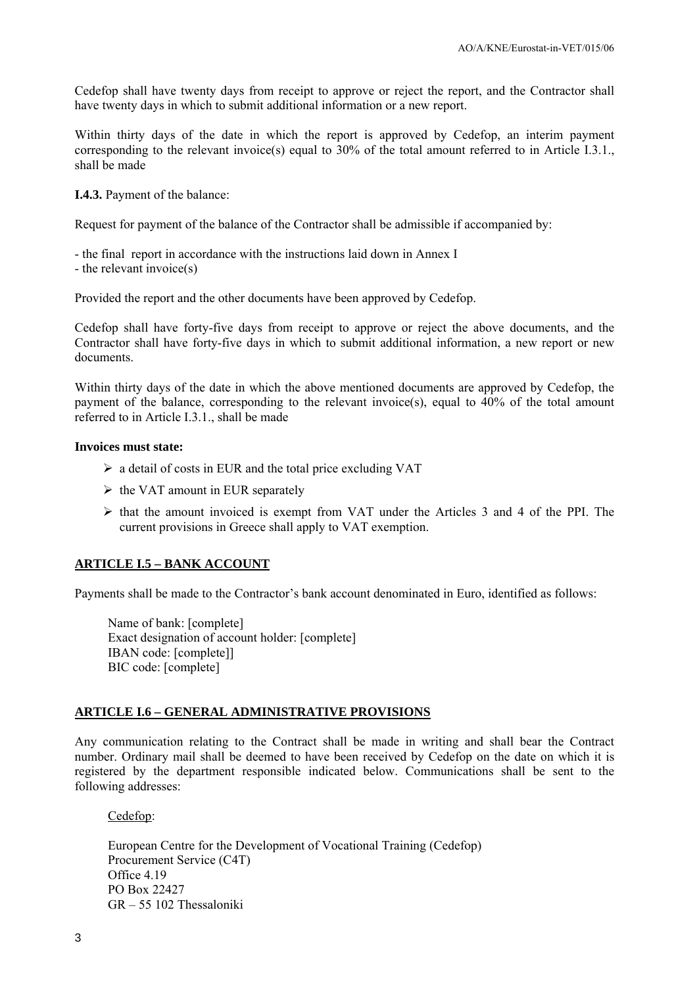Cedefop shall have twenty days from receipt to approve or reject the report, and the Contractor shall have twenty days in which to submit additional information or a new report.

Within thirty days of the date in which the report is approved by Cedefop, an interim payment corresponding to the relevant invoice(s) equal to 30% of the total amount referred to in Article I.3.1., shall be made

**I.4.3.** Payment of the balance:

Request for payment of the balance of the Contractor shall be admissible if accompanied by:

- the final report in accordance with the instructions laid down in Annex I

- the relevant invoice(s)

Provided the report and the other documents have been approved by Cedefop.

Cedefop shall have forty-five days from receipt to approve or reject the above documents, and the Contractor shall have forty-five days in which to submit additional information, a new report or new documents.

Within thirty days of the date in which the above mentioned documents are approved by Cedefop, the payment of the balance, corresponding to the relevant invoice(s), equal to 40% of the total amount referred to in Article I.3.1., shall be made

#### **Invoices must state:**

- $\triangleright$  a detail of costs in EUR and the total price excluding VAT
- $\triangleright$  the VAT amount in EUR separately
- $\triangleright$  that the amount invoiced is exempt from VAT under the Articles 3 and 4 of the PPI. The current provisions in Greece shall apply to VAT exemption.

#### **ARTICLE I.5 – BANK ACCOUNT**

Payments shall be made to the Contractor's bank account denominated in Euro, identified as follows:

Name of bank: [complete] Exact designation of account holder: [complete] IBAN code: [complete]] BIC code: [complete]

#### **ARTICLE I.6 – GENERAL ADMINISTRATIVE PROVISIONS**

Any communication relating to the Contract shall be made in writing and shall bear the Contract number. Ordinary mail shall be deemed to have been received by Cedefop on the date on which it is registered by the department responsible indicated below. Communications shall be sent to the following addresses:

Cedefop:

European Centre for the Development of Vocational Training (Cedefop) Procurement Service (C4T) Office 4.19 PO Box 22427 GR – 55 102 Thessaloniki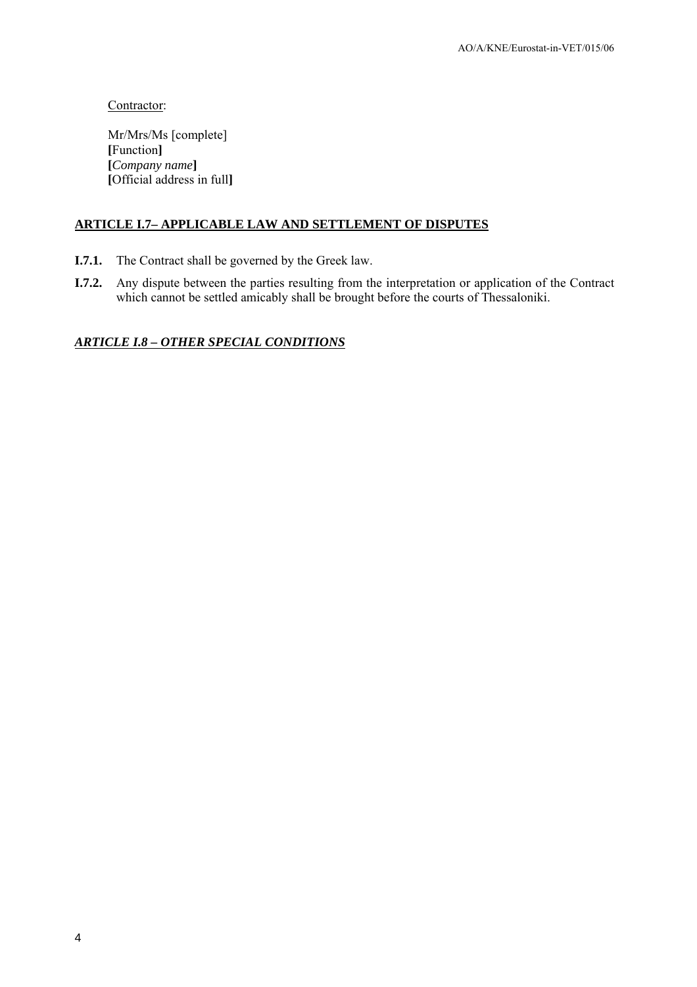Contractor:

Mr/Mrs/Ms [complete] **[**Function**] [***Company name***] [**Official address in full**]**

### **ARTICLE I.7– APPLICABLE LAW AND SETTLEMENT OF DISPUTES**

- **I.7.1.** The Contract shall be governed by the Greek law.
- **I.7.2.** Any dispute between the parties resulting from the interpretation or application of the Contract which cannot be settled amicably shall be brought before the courts of Thessaloniki.

### *ARTICLE I.8 – OTHER SPECIAL CONDITIONS*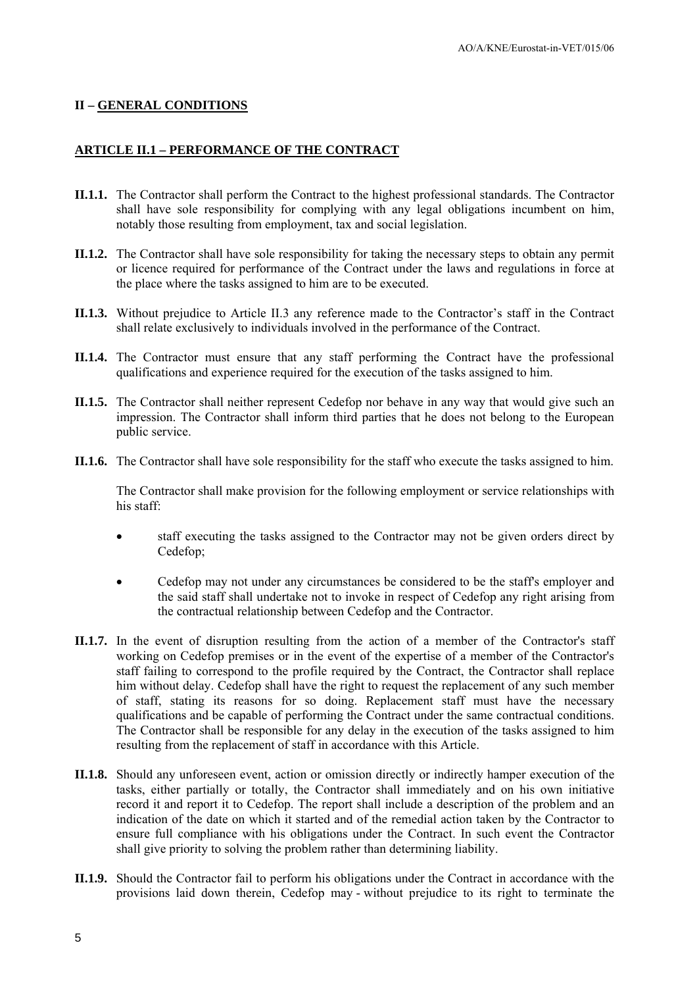#### **II – GENERAL CONDITIONS**

#### **ARTICLE II.1 – PERFORMANCE OF THE CONTRACT**

- **II.1.1.** The Contractor shall perform the Contract to the highest professional standards. The Contractor shall have sole responsibility for complying with any legal obligations incumbent on him, notably those resulting from employment, tax and social legislation.
- **II.1.2.** The Contractor shall have sole responsibility for taking the necessary steps to obtain any permit or licence required for performance of the Contract under the laws and regulations in force at the place where the tasks assigned to him are to be executed.
- **II.1.3.** Without prejudice to Article II.3 any reference made to the Contractor's staff in the Contract shall relate exclusively to individuals involved in the performance of the Contract.
- **II.1.4.** The Contractor must ensure that any staff performing the Contract have the professional qualifications and experience required for the execution of the tasks assigned to him.
- **II.1.5.** The Contractor shall neither represent Cedefop nor behave in any way that would give such an impression. The Contractor shall inform third parties that he does not belong to the European public service.
- **II.1.6.** The Contractor shall have sole responsibility for the staff who execute the tasks assigned to him.

The Contractor shall make provision for the following employment or service relationships with his staff:

- staff executing the tasks assigned to the Contractor may not be given orders direct by Cedefop;
- Cedefop may not under any circumstances be considered to be the staff's employer and the said staff shall undertake not to invoke in respect of Cedefop any right arising from the contractual relationship between Cedefop and the Contractor.
- **II.1.7.** In the event of disruption resulting from the action of a member of the Contractor's staff working on Cedefop premises or in the event of the expertise of a member of the Contractor's staff failing to correspond to the profile required by the Contract, the Contractor shall replace him without delay. Cedefop shall have the right to request the replacement of any such member of staff, stating its reasons for so doing. Replacement staff must have the necessary qualifications and be capable of performing the Contract under the same contractual conditions. The Contractor shall be responsible for any delay in the execution of the tasks assigned to him resulting from the replacement of staff in accordance with this Article.
- **II.1.8.** Should any unforeseen event, action or omission directly or indirectly hamper execution of the tasks, either partially or totally, the Contractor shall immediately and on his own initiative record it and report it to Cedefop. The report shall include a description of the problem and an indication of the date on which it started and of the remedial action taken by the Contractor to ensure full compliance with his obligations under the Contract. In such event the Contractor shall give priority to solving the problem rather than determining liability.
- **II.1.9.** Should the Contractor fail to perform his obligations under the Contract in accordance with the provisions laid down therein, Cedefop may - without prejudice to its right to terminate the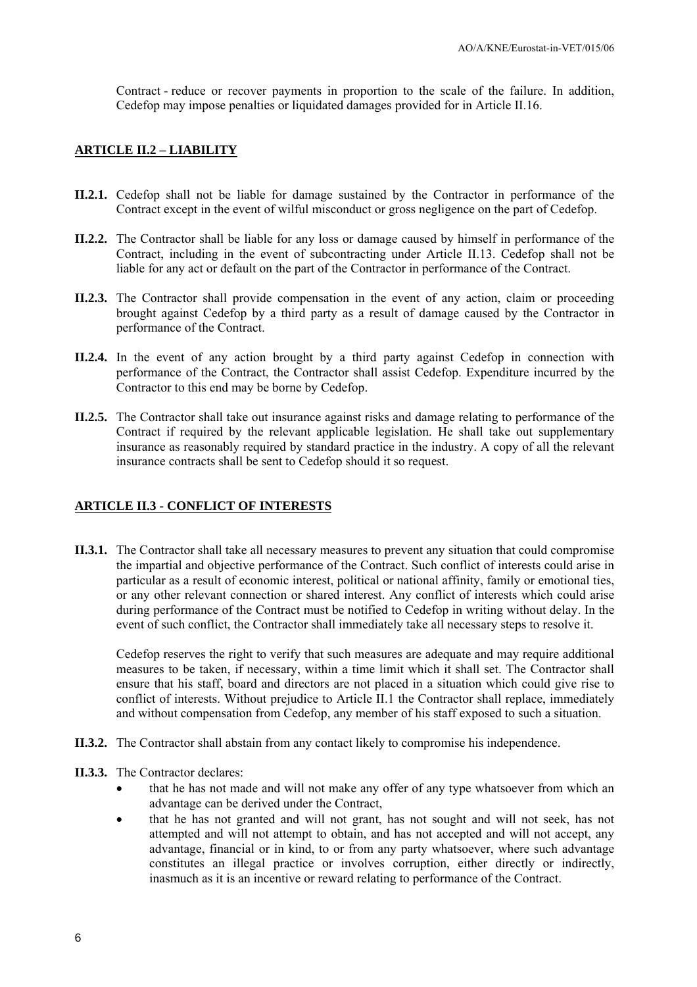Contract - reduce or recover payments in proportion to the scale of the failure. In addition, Cedefop may impose penalties or liquidated damages provided for in Article II.16.

#### **ARTICLE II.2 – LIABILITY**

- **II.2.1.** Cedefop shall not be liable for damage sustained by the Contractor in performance of the Contract except in the event of wilful misconduct or gross negligence on the part of Cedefop.
- **II.2.2.** The Contractor shall be liable for any loss or damage caused by himself in performance of the Contract, including in the event of subcontracting under Article II.13. Cedefop shall not be liable for any act or default on the part of the Contractor in performance of the Contract.
- **II.2.3.** The Contractor shall provide compensation in the event of any action, claim or proceeding brought against Cedefop by a third party as a result of damage caused by the Contractor in performance of the Contract.
- **II.2.4.** In the event of any action brought by a third party against Cedefop in connection with performance of the Contract, the Contractor shall assist Cedefop. Expenditure incurred by the Contractor to this end may be borne by Cedefop.
- **II.2.5.** The Contractor shall take out insurance against risks and damage relating to performance of the Contract if required by the relevant applicable legislation. He shall take out supplementary insurance as reasonably required by standard practice in the industry. A copy of all the relevant insurance contracts shall be sent to Cedefop should it so request.

#### **ARTICLE II.3 - CONFLICT OF INTERESTS**

**II.3.1.** The Contractor shall take all necessary measures to prevent any situation that could compromise the impartial and objective performance of the Contract. Such conflict of interests could arise in particular as a result of economic interest, political or national affinity, family or emotional ties, or any other relevant connection or shared interest. Any conflict of interests which could arise during performance of the Contract must be notified to Cedefop in writing without delay. In the event of such conflict, the Contractor shall immediately take all necessary steps to resolve it.

Cedefop reserves the right to verify that such measures are adequate and may require additional measures to be taken, if necessary, within a time limit which it shall set. The Contractor shall ensure that his staff, board and directors are not placed in a situation which could give rise to conflict of interests. Without prejudice to Article II.1 the Contractor shall replace, immediately and without compensation from Cedefop, any member of his staff exposed to such a situation.

- **II.3.2.** The Contractor shall abstain from any contact likely to compromise his independence.
- **II.3.3.** The Contractor declares:
	- that he has not made and will not make any offer of any type whatsoever from which an advantage can be derived under the Contract,
	- that he has not granted and will not grant, has not sought and will not seek, has not attempted and will not attempt to obtain, and has not accepted and will not accept, any advantage, financial or in kind, to or from any party whatsoever, where such advantage constitutes an illegal practice or involves corruption, either directly or indirectly, inasmuch as it is an incentive or reward relating to performance of the Contract.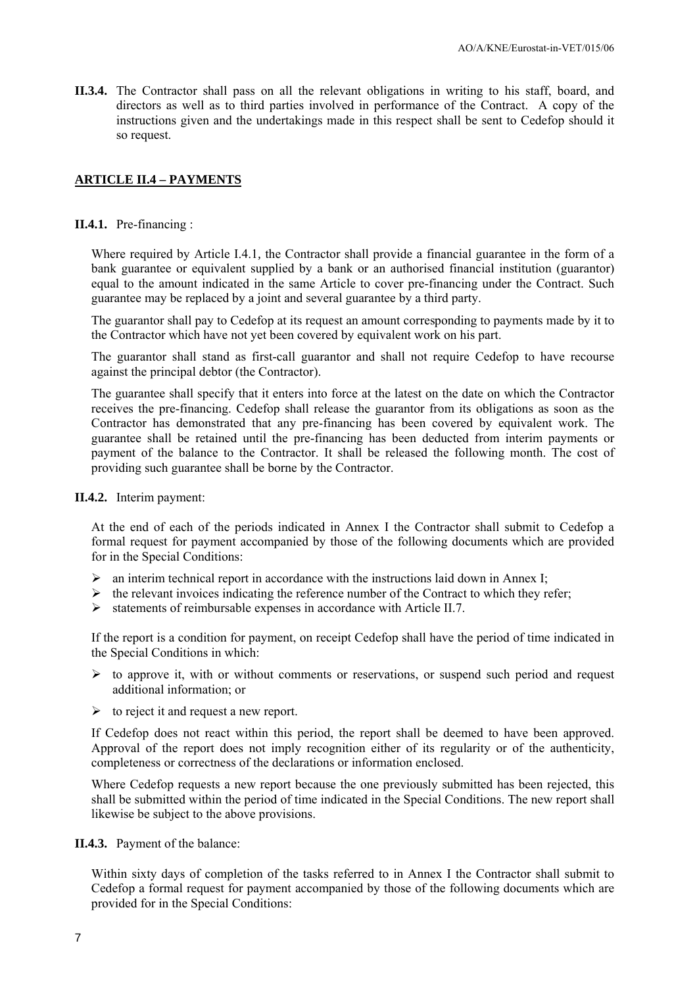**II.3.4.** The Contractor shall pass on all the relevant obligations in writing to his staff, board, and directors as well as to third parties involved in performance of the Contract. A copy of the instructions given and the undertakings made in this respect shall be sent to Cedefop should it so request.

#### **ARTICLE II.4 – PAYMENTS**

#### **II.4.1.** Pre-financing :

Where required by Article I.4.1*,* the Contractor shall provide a financial guarantee in the form of a bank guarantee or equivalent supplied by a bank or an authorised financial institution (guarantor) equal to the amount indicated in the same Article to cover pre-financing under the Contract. Such guarantee may be replaced by a joint and several guarantee by a third party.

The guarantor shall pay to Cedefop at its request an amount corresponding to payments made by it to the Contractor which have not yet been covered by equivalent work on his part.

The guarantor shall stand as first-call guarantor and shall not require Cedefop to have recourse against the principal debtor (the Contractor).

The guarantee shall specify that it enters into force at the latest on the date on which the Contractor receives the pre-financing. Cedefop shall release the guarantor from its obligations as soon as the Contractor has demonstrated that any pre-financing has been covered by equivalent work. The guarantee shall be retained until the pre-financing has been deducted from interim payments or payment of the balance to the Contractor. It shall be released the following month. The cost of providing such guarantee shall be borne by the Contractor.

**II.4.2.** Interim payment:

At the end of each of the periods indicated in Annex I the Contractor shall submit to Cedefop a formal request for payment accompanied by those of the following documents which are provided for in the Special Conditions:

- $\triangleright$  an interim technical report in accordance with the instructions laid down in Annex I;
- $\triangleright$  the relevant invoices indicating the reference number of the Contract to which they refer;
- $\triangleright$  statements of reimbursable expenses in accordance with Article II.7.

If the report is a condition for payment, on receipt Cedefop shall have the period of time indicated in the Special Conditions in which:

- $\triangleright$  to approve it, with or without comments or reservations, or suspend such period and request additional information; or
- $\triangleright$  to reject it and request a new report.

If Cedefop does not react within this period, the report shall be deemed to have been approved. Approval of the report does not imply recognition either of its regularity or of the authenticity, completeness or correctness of the declarations or information enclosed.

Where Cedefop requests a new report because the one previously submitted has been rejected, this shall be submitted within the period of time indicated in the Special Conditions. The new report shall likewise be subject to the above provisions.

**II.4.3.** Payment of the balance:

Within sixty days of completion of the tasks referred to in Annex I the Contractor shall submit to Cedefop a formal request for payment accompanied by those of the following documents which are provided for in the Special Conditions: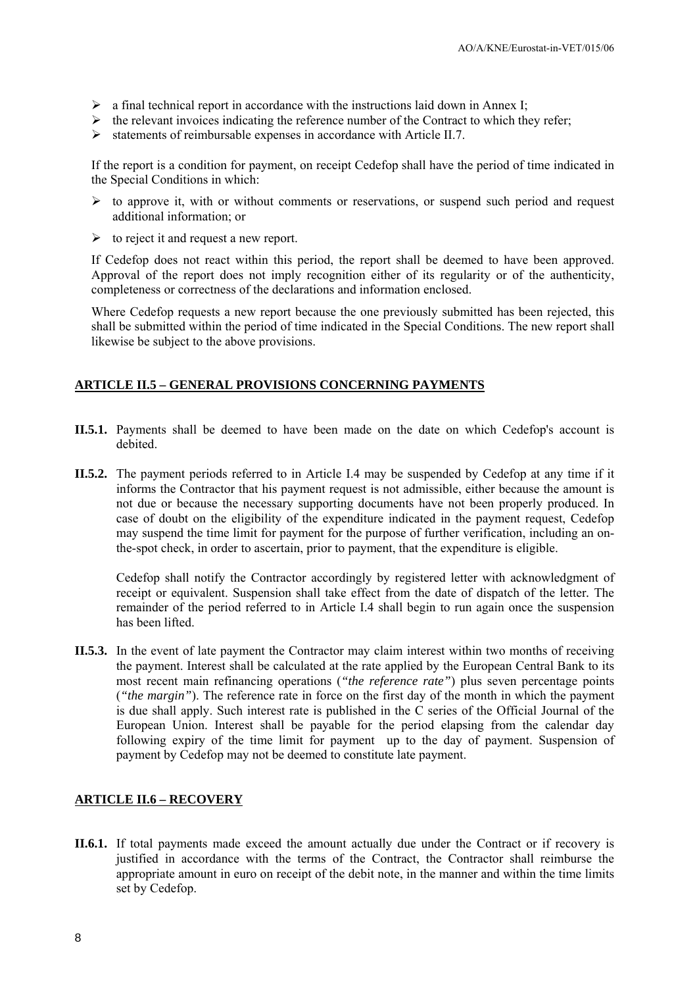- $\triangleright$  a final technical report in accordance with the instructions laid down in Annex I;
- $\triangleright$  the relevant invoices indicating the reference number of the Contract to which they refer;
- $\triangleright$  statements of reimbursable expenses in accordance with Article II.7.

If the report is a condition for payment, on receipt Cedefop shall have the period of time indicated in the Special Conditions in which:

- $\triangleright$  to approve it, with or without comments or reservations, or suspend such period and request additional information; or
- $\triangleright$  to reject it and request a new report.

If Cedefop does not react within this period, the report shall be deemed to have been approved. Approval of the report does not imply recognition either of its regularity or of the authenticity, completeness or correctness of the declarations and information enclosed.

Where Cedefop requests a new report because the one previously submitted has been rejected, this shall be submitted within the period of time indicated in the Special Conditions. The new report shall likewise be subject to the above provisions.

#### **ARTICLE II.5 – GENERAL PROVISIONS CONCERNING PAYMENTS**

- **II.5.1.** Payments shall be deemed to have been made on the date on which Cedefop's account is debited.
- **II.5.2.** The payment periods referred to in Article I.4 may be suspended by Cedefop at any time if it informs the Contractor that his payment request is not admissible, either because the amount is not due or because the necessary supporting documents have not been properly produced. In case of doubt on the eligibility of the expenditure indicated in the payment request, Cedefop may suspend the time limit for payment for the purpose of further verification, including an onthe-spot check, in order to ascertain, prior to payment, that the expenditure is eligible.

Cedefop shall notify the Contractor accordingly by registered letter with acknowledgment of receipt or equivalent. Suspension shall take effect from the date of dispatch of the letter*.* The remainder of the period referred to in Article I.4 shall begin to run again once the suspension has been lifted.

**II.5.3.** In the event of late payment the Contractor may claim interest within two months of receiving the payment. Interest shall be calculated at the rate applied by the European Central Bank to its most recent main refinancing operations (*"the reference rate"*) plus seven percentage points (*"the margin"*). The reference rate in force on the first day of the month in which the payment is due shall apply. Such interest rate is published in the C series of the Official Journal of the European Union. Interest shall be payable for the period elapsing from the calendar day following expiry of the time limit for payment up to the day of payment. Suspension of payment by Cedefop may not be deemed to constitute late payment.

#### **ARTICLE II.6 – RECOVERY**

**II.6.1.** If total payments made exceed the amount actually due under the Contract or if recovery is justified in accordance with the terms of the Contract, the Contractor shall reimburse the appropriate amount in euro on receipt of the debit note, in the manner and within the time limits set by Cedefop.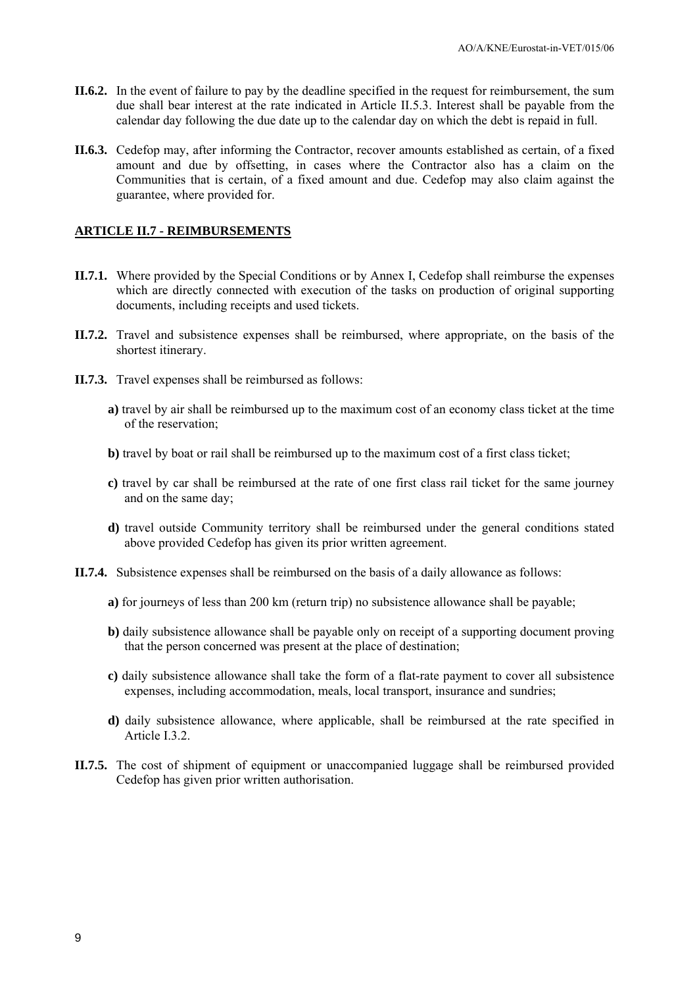- **II.6.2.** In the event of failure to pay by the deadline specified in the request for reimbursement, the sum due shall bear interest at the rate indicated in Article II.5.3. Interest shall be payable from the calendar day following the due date up to the calendar day on which the debt is repaid in full.
- **II.6.3.** Cedefop may, after informing the Contractor, recover amounts established as certain, of a fixed amount and due by offsetting, in cases where the Contractor also has a claim on the Communities that is certain, of a fixed amount and due. Cedefop may also claim against the guarantee, where provided for.

#### **ARTICLE II.7 - REIMBURSEMENTS**

- **II.7.1.** Where provided by the Special Conditions or by Annex I, Cedefop shall reimburse the expenses which are directly connected with execution of the tasks on production of original supporting documents, including receipts and used tickets.
- **II.7.2.** Travel and subsistence expenses shall be reimbursed, where appropriate, on the basis of the shortest itinerary.
- **II.7.3.** Travel expenses shall be reimbursed as follows:
	- **a)** travel by air shall be reimbursed up to the maximum cost of an economy class ticket at the time of the reservation;
	- **b)** travel by boat or rail shall be reimbursed up to the maximum cost of a first class ticket;
	- **c)** travel by car shall be reimbursed at the rate of one first class rail ticket for the same journey and on the same day;
	- **d)** travel outside Community territory shall be reimbursed under the general conditions stated above provided Cedefop has given its prior written agreement.
- **II.7.4.** Subsistence expenses shall be reimbursed on the basis of a daily allowance as follows:
	- **a)** for journeys of less than 200 km (return trip) no subsistence allowance shall be payable;
	- **b)** daily subsistence allowance shall be payable only on receipt of a supporting document proving that the person concerned was present at the place of destination;
	- **c)** daily subsistence allowance shall take the form of a flat-rate payment to cover all subsistence expenses, including accommodation, meals, local transport, insurance and sundries;
	- **d)** daily subsistence allowance, where applicable, shall be reimbursed at the rate specified in Article I.3.2.
- **II.7.5.** The cost of shipment of equipment or unaccompanied luggage shall be reimbursed provided Cedefop has given prior written authorisation.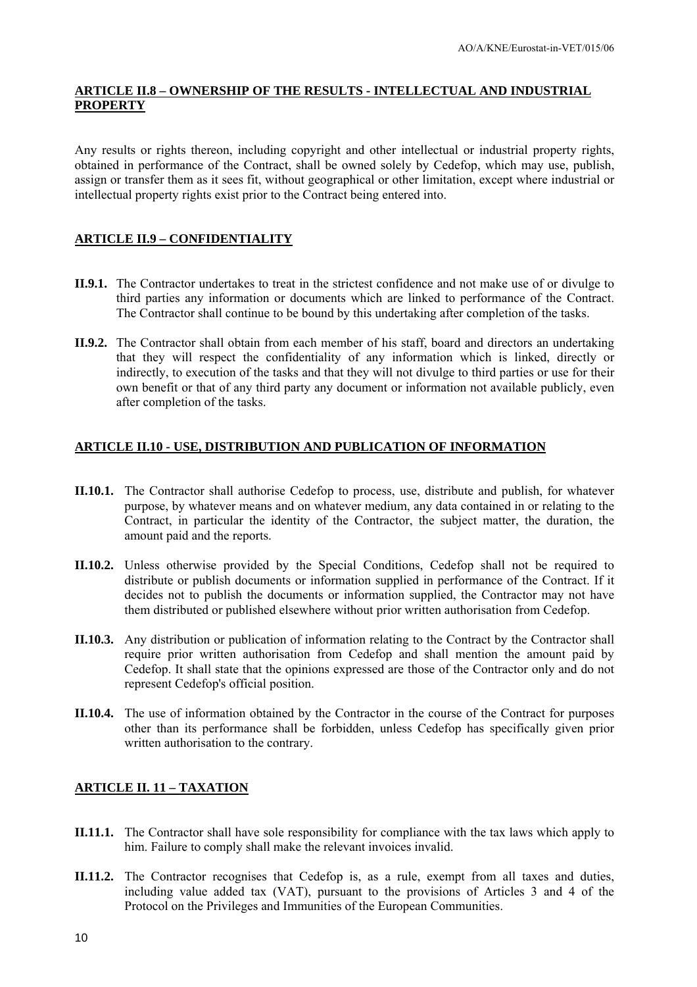### **ARTICLE II.8 – OWNERSHIP OF THE RESULTS - INTELLECTUAL AND INDUSTRIAL PROPERTY**

Any results or rights thereon, including copyright and other intellectual or industrial property rights, obtained in performance of the Contract, shall be owned solely by Cedefop, which may use, publish, assign or transfer them as it sees fit, without geographical or other limitation, except where industrial or intellectual property rights exist prior to the Contract being entered into.

### **ARTICLE II.9 – CONFIDENTIALITY**

- **II.9.1.** The Contractor undertakes to treat in the strictest confidence and not make use of or divulge to third parties any information or documents which are linked to performance of the Contract. The Contractor shall continue to be bound by this undertaking after completion of the tasks.
- **II.9.2.** The Contractor shall obtain from each member of his staff, board and directors an undertaking that they will respect the confidentiality of any information which is linked, directly or indirectly, to execution of the tasks and that they will not divulge to third parties or use for their own benefit or that of any third party any document or information not available publicly, even after completion of the tasks.

## **ARTICLE II.10 - USE, DISTRIBUTION AND PUBLICATION OF INFORMATION**

- **II.10.1.** The Contractor shall authorise Cedefop to process, use, distribute and publish, for whatever purpose, by whatever means and on whatever medium, any data contained in or relating to the Contract, in particular the identity of the Contractor, the subject matter, the duration, the amount paid and the reports.
- **II.10.2.** Unless otherwise provided by the Special Conditions, Cedefop shall not be required to distribute or publish documents or information supplied in performance of the Contract. If it decides not to publish the documents or information supplied, the Contractor may not have them distributed or published elsewhere without prior written authorisation from Cedefop.
- **II.10.3.** Any distribution or publication of information relating to the Contract by the Contractor shall require prior written authorisation from Cedefop and shall mention the amount paid by Cedefop. It shall state that the opinions expressed are those of the Contractor only and do not represent Cedefop's official position.
- **II.10.4.** The use of information obtained by the Contractor in the course of the Contract for purposes other than its performance shall be forbidden, unless Cedefop has specifically given prior written authorisation to the contrary.

### **ARTICLE II. 11 – TAXATION**

- **II.11.1.** The Contractor shall have sole responsibility for compliance with the tax laws which apply to him. Failure to comply shall make the relevant invoices invalid.
- **II.11.2.** The Contractor recognises that Cedefop is, as a rule, exempt from all taxes and duties, including value added tax (VAT), pursuant to the provisions of Articles 3 and 4 of the Protocol on the Privileges and Immunities of the European Communities.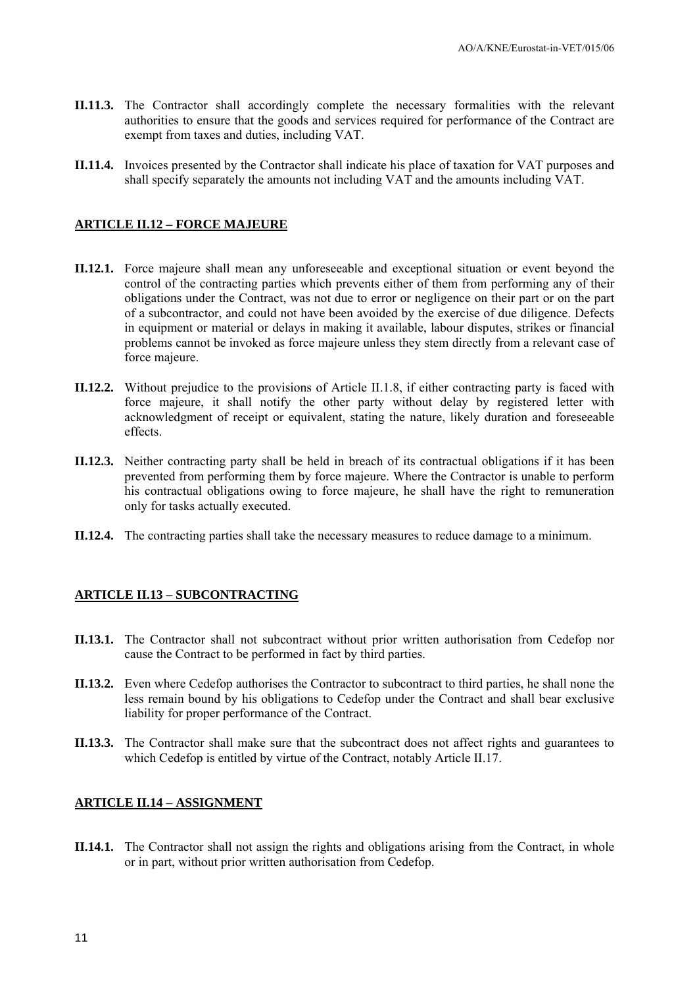- **II.11.3.** The Contractor shall accordingly complete the necessary formalities with the relevant authorities to ensure that the goods and services required for performance of the Contract are exempt from taxes and duties, including VAT.
- **II.11.4.** Invoices presented by the Contractor shall indicate his place of taxation for VAT purposes and shall specify separately the amounts not including VAT and the amounts including VAT.

### **ARTICLE II.12 – FORCE MAJEURE**

- **II.12.1.** Force majeure shall mean any unforeseeable and exceptional situation or event beyond the control of the contracting parties which prevents either of them from performing any of their obligations under the Contract, was not due to error or negligence on their part or on the part of a subcontractor, and could not have been avoided by the exercise of due diligence. Defects in equipment or material or delays in making it available, labour disputes, strikes or financial problems cannot be invoked as force majeure unless they stem directly from a relevant case of force majeure.
- **II.12.2.** Without prejudice to the provisions of Article II.1.8, if either contracting party is faced with force majeure, it shall notify the other party without delay by registered letter with acknowledgment of receipt or equivalent, stating the nature, likely duration and foreseeable effects.
- **II.12.3.** Neither contracting party shall be held in breach of its contractual obligations if it has been prevented from performing them by force majeure. Where the Contractor is unable to perform his contractual obligations owing to force majeure, he shall have the right to remuneration only for tasks actually executed.
- **II.12.4.** The contracting parties shall take the necessary measures to reduce damage to a minimum.

### **ARTICLE II.13 – SUBCONTRACTING**

- **II.13.1.** The Contractor shall not subcontract without prior written authorisation from Cedefop nor cause the Contract to be performed in fact by third parties.
- **II.13.2.** Even where Cedefop authorises the Contractor to subcontract to third parties, he shall none the less remain bound by his obligations to Cedefop under the Contract and shall bear exclusive liability for proper performance of the Contract.
- **II.13.3.** The Contractor shall make sure that the subcontract does not affect rights and guarantees to which Cedefop is entitled by virtue of the Contract, notably Article II.17.

#### **ARTICLE II.14 – ASSIGNMENT**

**II.14.1.** The Contractor shall not assign the rights and obligations arising from the Contract, in whole or in part, without prior written authorisation from Cedefop.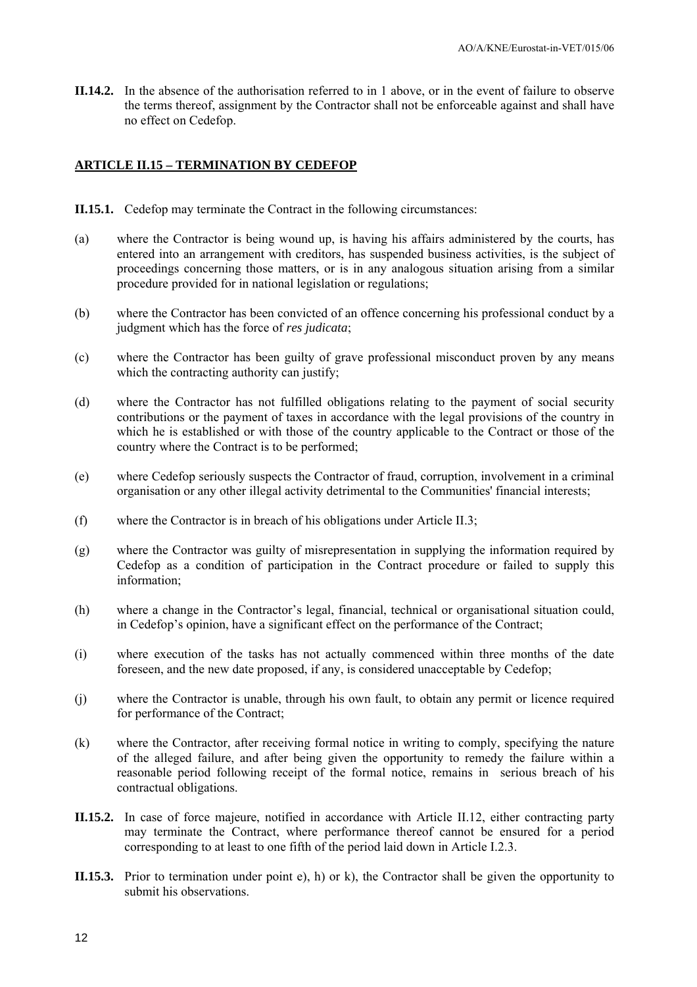**II.14.2.** In the absence of the authorisation referred to in 1 above, or in the event of failure to observe the terms thereof, assignment by the Contractor shall not be enforceable against and shall have no effect on Cedefop.

#### **ARTICLE II.15 – TERMINATION BY CEDEFOP**

- **II.15.1.** Cedefop may terminate the Contract in the following circumstances:
- (a) where the Contractor is being wound up, is having his affairs administered by the courts, has entered into an arrangement with creditors, has suspended business activities, is the subject of proceedings concerning those matters, or is in any analogous situation arising from a similar procedure provided for in national legislation or regulations;
- (b) where the Contractor has been convicted of an offence concerning his professional conduct by a judgment which has the force of *res judicata*;
- (c) where the Contractor has been guilty of grave professional misconduct proven by any means which the contracting authority can justify;
- (d) where the Contractor has not fulfilled obligations relating to the payment of social security contributions or the payment of taxes in accordance with the legal provisions of the country in which he is established or with those of the country applicable to the Contract or those of the country where the Contract is to be performed;
- (e) where Cedefop seriously suspects the Contractor of fraud, corruption, involvement in a criminal organisation or any other illegal activity detrimental to the Communities' financial interests;
- (f) where the Contractor is in breach of his obligations under Article II.3;
- (g) where the Contractor was guilty of misrepresentation in supplying the information required by Cedefop as a condition of participation in the Contract procedure or failed to supply this information;
- (h) where a change in the Contractor's legal, financial, technical or organisational situation could, in Cedefop's opinion, have a significant effect on the performance of the Contract;
- (i) where execution of the tasks has not actually commenced within three months of the date foreseen, and the new date proposed, if any, is considered unacceptable by Cedefop;
- (j) where the Contractor is unable, through his own fault, to obtain any permit or licence required for performance of the Contract;
- (k) where the Contractor, after receiving formal notice in writing to comply, specifying the nature of the alleged failure, and after being given the opportunity to remedy the failure within a reasonable period following receipt of the formal notice, remains in serious breach of his contractual obligations.
- **II.15.2.** In case of force majeure, notified in accordance with Article II.12, either contracting party may terminate the Contract, where performance thereof cannot be ensured for a period corresponding to at least to one fifth of the period laid down in Article I.2.3.
- **II.15.3.** Prior to termination under point e), h) or k), the Contractor shall be given the opportunity to submit his observations.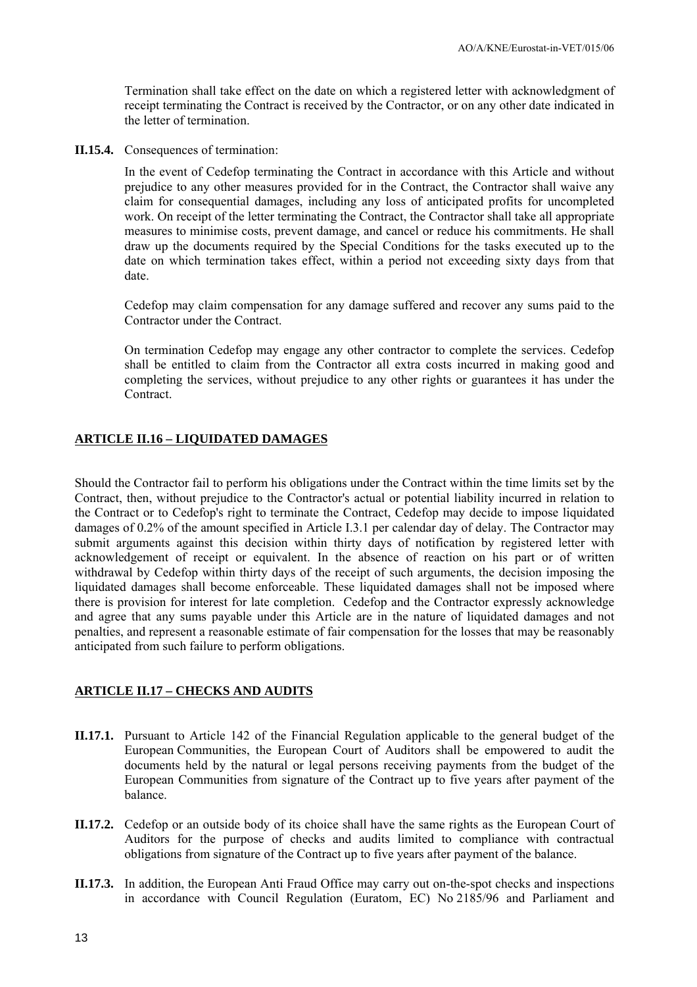Termination shall take effect on the date on which a registered letter with acknowledgment of receipt terminating the Contract is received by the Contractor, or on any other date indicated in the letter of termination.

**II.15.4.** Consequences of termination:

In the event of Cedefop terminating the Contract in accordance with this Article and without prejudice to any other measures provided for in the Contract, the Contractor shall waive any claim for consequential damages, including any loss of anticipated profits for uncompleted work. On receipt of the letter terminating the Contract, the Contractor shall take all appropriate measures to minimise costs, prevent damage, and cancel or reduce his commitments. He shall draw up the documents required by the Special Conditions for the tasks executed up to the date on which termination takes effect, within a period not exceeding sixty days from that date.

Cedefop may claim compensation for any damage suffered and recover any sums paid to the Contractor under the Contract.

On termination Cedefop may engage any other contractor to complete the services. Cedefop shall be entitled to claim from the Contractor all extra costs incurred in making good and completing the services, without prejudice to any other rights or guarantees it has under the **Contract** 

#### **ARTICLE II.16 – LIQUIDATED DAMAGES**

Should the Contractor fail to perform his obligations under the Contract within the time limits set by the Contract, then, without prejudice to the Contractor's actual or potential liability incurred in relation to the Contract or to Cedefop's right to terminate the Contract, Cedefop may decide to impose liquidated damages of 0.2% of the amount specified in Article I.3.1 per calendar day of delay. The Contractor may submit arguments against this decision within thirty days of notification by registered letter with acknowledgement of receipt or equivalent. In the absence of reaction on his part or of written withdrawal by Cedefop within thirty days of the receipt of such arguments, the decision imposing the liquidated damages shall become enforceable. These liquidated damages shall not be imposed where there is provision for interest for late completion. Cedefop and the Contractor expressly acknowledge and agree that any sums payable under this Article are in the nature of liquidated damages and not penalties, and represent a reasonable estimate of fair compensation for the losses that may be reasonably anticipated from such failure to perform obligations.

### **ARTICLE II.17 – CHECKS AND AUDITS**

- **II.17.1.** Pursuant to Article 142 of the Financial Regulation applicable to the general budget of the European Communities, the European Court of Auditors shall be empowered to audit the documents held by the natural or legal persons receiving payments from the budget of the European Communities from signature of the Contract up to five years after payment of the balance.
- **II.17.2.** Cedefop or an outside body of its choice shall have the same rights as the European Court of Auditors for the purpose of checks and audits limited to compliance with contractual obligations from signature of the Contract up to five years after payment of the balance.
- **II.17.3.** In addition, the European Anti Fraud Office may carry out on-the-spot checks and inspections in accordance with Council Regulation (Euratom, EC) No 2185/96 and Parliament and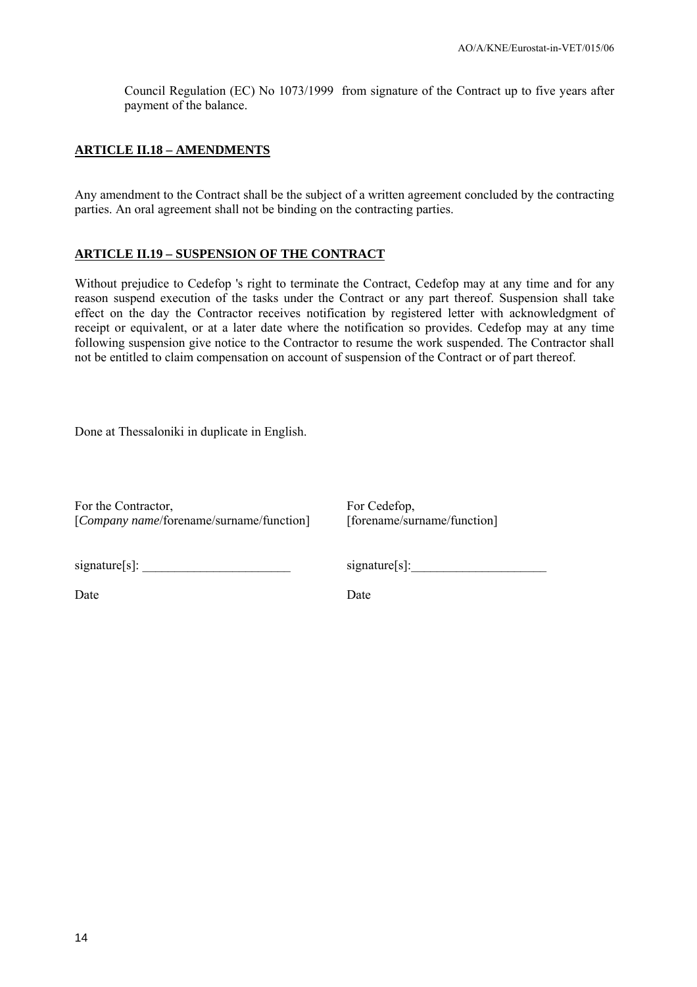Council Regulation (EC) No 1073/1999 from signature of the Contract up to five years after payment of the balance.

### **ARTICLE II.18 – AMENDMENTS**

Any amendment to the Contract shall be the subject of a written agreement concluded by the contracting parties. An oral agreement shall not be binding on the contracting parties.

#### **ARTICLE II.19 – SUSPENSION OF THE CONTRACT**

Without prejudice to Cedefop 's right to terminate the Contract, Cedefop may at any time and for any reason suspend execution of the tasks under the Contract or any part thereof. Suspension shall take effect on the day the Contractor receives notification by registered letter with acknowledgment of receipt or equivalent, or at a later date where the notification so provides. Cedefop may at any time following suspension give notice to the Contractor to resume the work suspended. The Contractor shall not be entitled to claim compensation on account of suspension of the Contract or of part thereof.

Done at Thessaloniki in duplicate in English.

For the Contractor, [*Company name*/forename/surname/function] For Cedefop, [forename/surname/function]

signature[s]:

Date Date Date

 $signature[s]$ :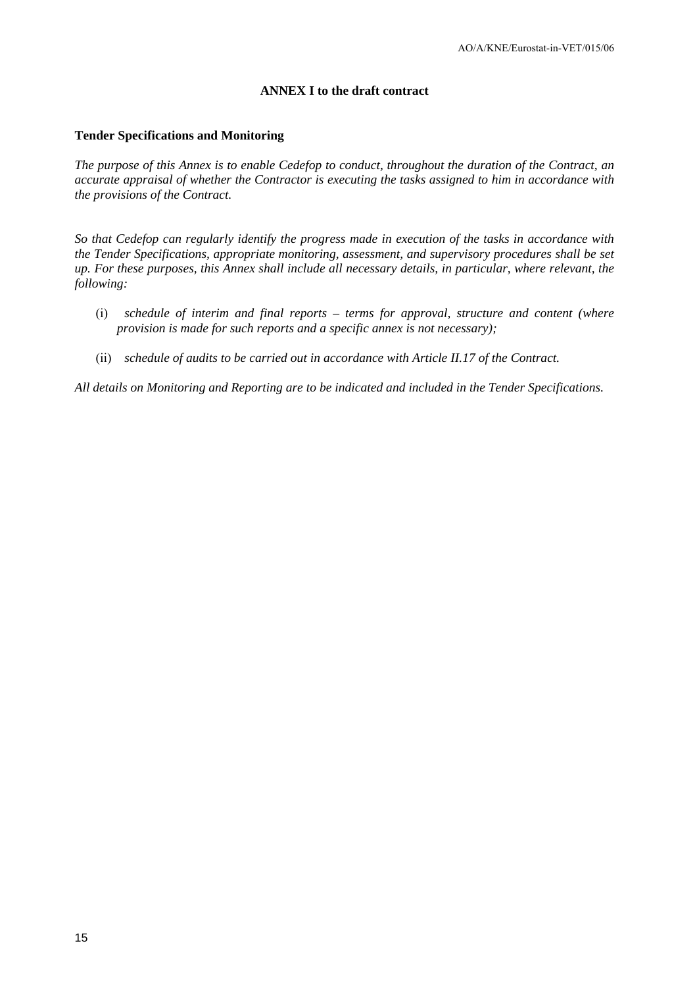#### **ANNEX I to the draft contract**

#### **Tender Specifications and Monitoring**

*The purpose of this Annex is to enable Cedefop to conduct, throughout the duration of the Contract, an accurate appraisal of whether the Contractor is executing the tasks assigned to him in accordance with the provisions of the Contract.* 

*So that Cedefop can regularly identify the progress made in execution of the tasks in accordance with the Tender Specifications, appropriate monitoring, assessment, and supervisory procedures shall be set up. For these purposes, this Annex shall include all necessary details, in particular, where relevant, the following:* 

- (i) *schedule of interim and final reports terms for approval, structure and content (where provision is made for such reports and a specific annex is not necessary);*
- (ii) *schedule of audits to be carried out in accordance with Article II.17 of the Contract.*

*All details on Monitoring and Reporting are to be indicated and included in the Tender Specifications.*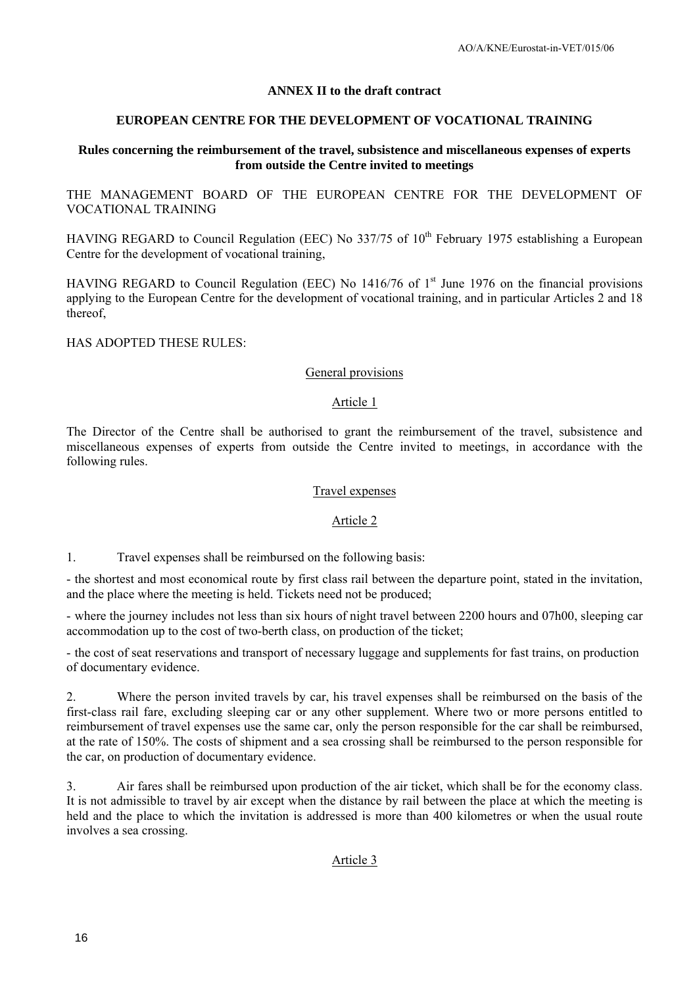#### **ANNEX II to the draft contract**

#### **EUROPEAN CENTRE FOR THE DEVELOPMENT OF VOCATIONAL TRAINING**

#### **Rules concerning the reimbursement of the travel, subsistence and miscellaneous expenses of experts from outside the Centre invited to meetings**

THE MANAGEMENT BOARD OF THE EUROPEAN CENTRE FOR THE DEVELOPMENT OF VOCATIONAL TRAINING

HAVING REGARD to Council Regulation (EEC) No  $337/75$  of  $10<sup>th</sup>$  February 1975 establishing a European Centre for the development of vocational training,

HAVING REGARD to Council Regulation (EEC) No 1416/76 of  $1<sup>st</sup>$  June 1976 on the financial provisions applying to the European Centre for the development of vocational training, and in particular Articles 2 and 18 thereof,

HAS ADOPTED THESE RULES:

#### General provisions

#### Article 1

The Director of the Centre shall be authorised to grant the reimbursement of the travel, subsistence and miscellaneous expenses of experts from outside the Centre invited to meetings, in accordance with the following rules.

#### Travel expenses

#### Article 2

1. Travel expenses shall be reimbursed on the following basis:

- the shortest and most economical route by first class rail between the departure point, stated in the invitation, and the place where the meeting is held. Tickets need not be produced;

- where the journey includes not less than six hours of night travel between 2200 hours and 07h00, sleeping car accommodation up to the cost of two-berth class, on production of the ticket;

- the cost of seat reservations and transport of necessary luggage and supplements for fast trains, on production of documentary evidence.

2. Where the person invited travels by car, his travel expenses shall be reimbursed on the basis of the first-class rail fare, excluding sleeping car or any other supplement. Where two or more persons entitled to reimbursement of travel expenses use the same car, only the person responsible for the car shall be reimbursed, at the rate of 150%. The costs of shipment and a sea crossing shall be reimbursed to the person responsible for the car, on production of documentary evidence.

3. Air fares shall be reimbursed upon production of the air ticket, which shall be for the economy class. It is not admissible to travel by air except when the distance by rail between the place at which the meeting is held and the place to which the invitation is addressed is more than 400 kilometres or when the usual route involves a sea crossing.

Article 3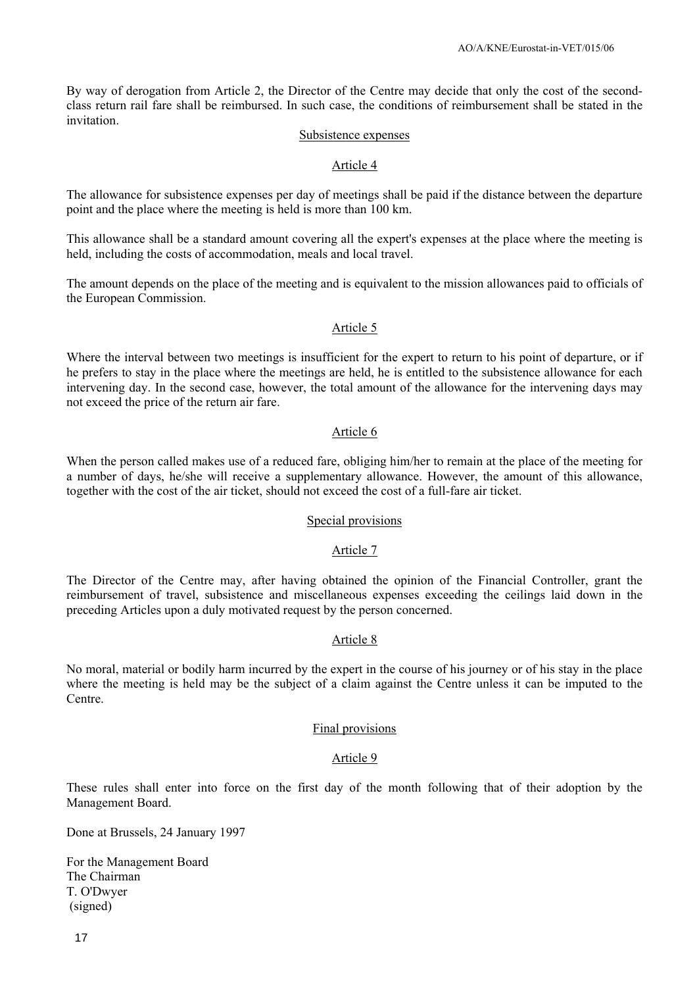By way of derogation from Article 2, the Director of the Centre may decide that only the cost of the secondclass return rail fare shall be reimbursed. In such case, the conditions of reimbursement shall be stated in the invitation.

#### Subsistence expenses

#### Article 4

The allowance for subsistence expenses per day of meetings shall be paid if the distance between the departure point and the place where the meeting is held is more than 100 km.

This allowance shall be a standard amount covering all the expert's expenses at the place where the meeting is held, including the costs of accommodation, meals and local travel.

The amount depends on the place of the meeting and is equivalent to the mission allowances paid to officials of the European Commission.

#### Article 5

Where the interval between two meetings is insufficient for the expert to return to his point of departure, or if he prefers to stay in the place where the meetings are held, he is entitled to the subsistence allowance for each intervening day. In the second case, however, the total amount of the allowance for the intervening days may not exceed the price of the return air fare.

#### Article 6

When the person called makes use of a reduced fare, obliging him/her to remain at the place of the meeting for a number of days, he/she will receive a supplementary allowance. However, the amount of this allowance, together with the cost of the air ticket, should not exceed the cost of a full-fare air ticket.

#### Special provisions

#### Article 7

The Director of the Centre may, after having obtained the opinion of the Financial Controller, grant the reimbursement of travel, subsistence and miscellaneous expenses exceeding the ceilings laid down in the preceding Articles upon a duly motivated request by the person concerned.

#### Article 8

No moral, material or bodily harm incurred by the expert in the course of his journey or of his stay in the place where the meeting is held may be the subject of a claim against the Centre unless it can be imputed to the Centre.

#### Final provisions

#### Article 9

These rules shall enter into force on the first day of the month following that of their adoption by the Management Board.

Done at Brussels, 24 January 1997

For the Management Board The Chairman T. O'Dwyer (signed)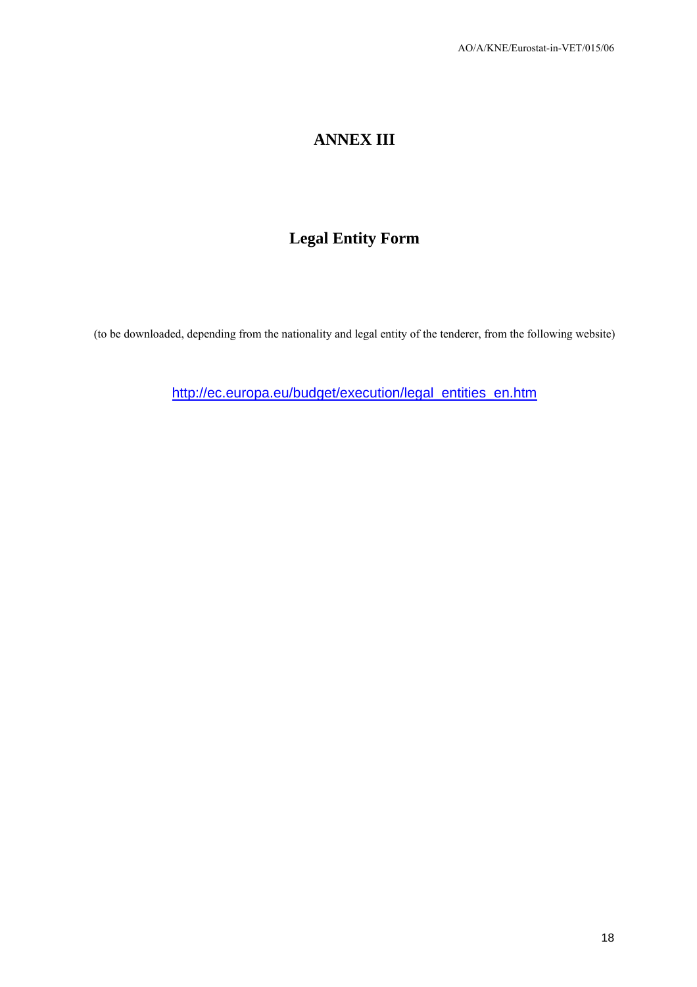# **ANNEX III**

## **Legal Entity Form**

(to be downloaded, depending from the nationality and legal entity of the tenderer, from the following website)

[http://ec.europa.eu/budget/execution/legal\\_entities\\_en.htm](http://ec.europa.eu/budget/execution/legal_entities_en.htm)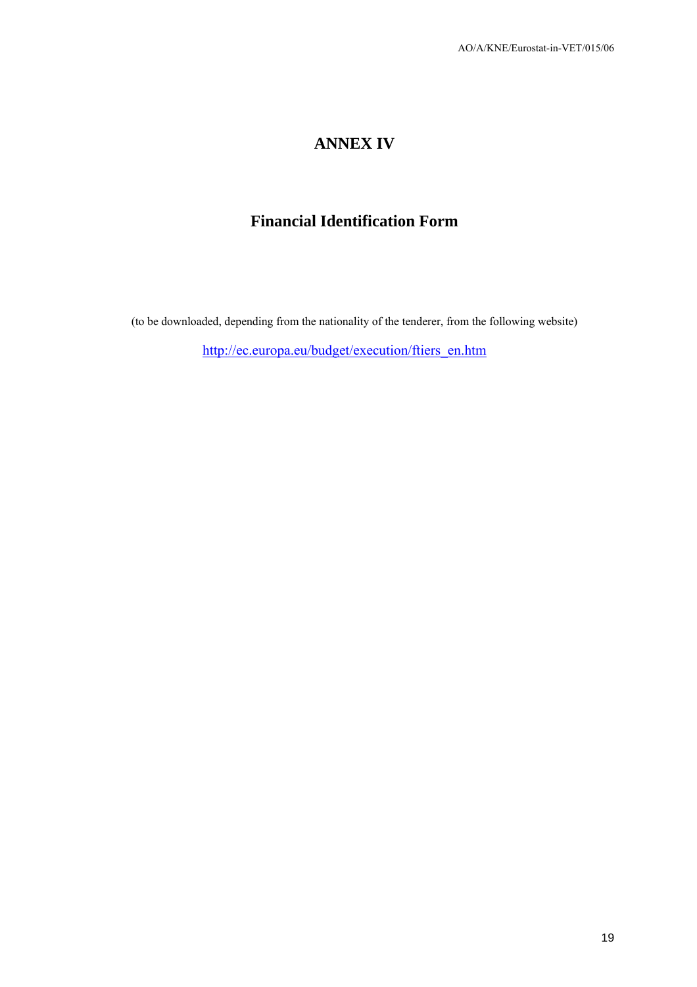## **ANNEX IV**

## **Financial Identification Form**

(to be downloaded, depending from the nationality of the tenderer, from the following website)

[http://ec.europa.eu/budget/execution/ftiers\\_en.htm](http://ec.europa.eu/budget/execution/ftiers_en.htm)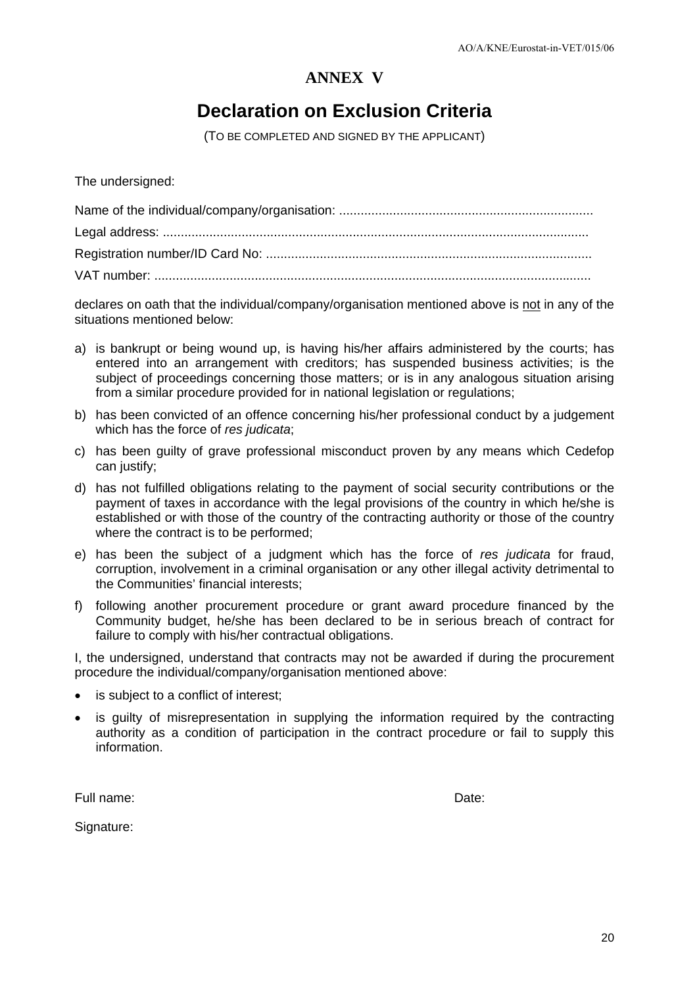## **ANNEX V**

# **Declaration on Exclusion Criteria**

(TO BE COMPLETED AND SIGNED BY THE APPLICANT)

The undersigned:

declares on oath that the individual/company/organisation mentioned above is not in any of the situations mentioned below:

- a) is bankrupt or being wound up, is having his/her affairs administered by the courts; has entered into an arrangement with creditors; has suspended business activities; is the subject of proceedings concerning those matters; or is in any analogous situation arising from a similar procedure provided for in national legislation or regulations;
- b) has been convicted of an offence concerning his/her professional conduct by a judgement which has the force of *res judicata*;
- c) has been guilty of grave professional misconduct proven by any means which Cedefop can justify;
- d) has not fulfilled obligations relating to the payment of social security contributions or the payment of taxes in accordance with the legal provisions of the country in which he/she is established or with those of the country of the contracting authority or those of the country where the contract is to be performed;
- e) has been the subject of a judgment which has the force of *res judicata* for fraud, corruption, involvement in a criminal organisation or any other illegal activity detrimental to the Communities' financial interests;
- f) following another procurement procedure or grant award procedure financed by the Community budget, he/she has been declared to be in serious breach of contract for failure to comply with his/her contractual obligations.

I, the undersigned, understand that contracts may not be awarded if during the procurement procedure the individual/company/organisation mentioned above:

- is subject to a conflict of interest;
- is guilty of misrepresentation in supplying the information required by the contracting authority as a condition of participation in the contract procedure or fail to supply this information.

Full name: Date:

Signature: